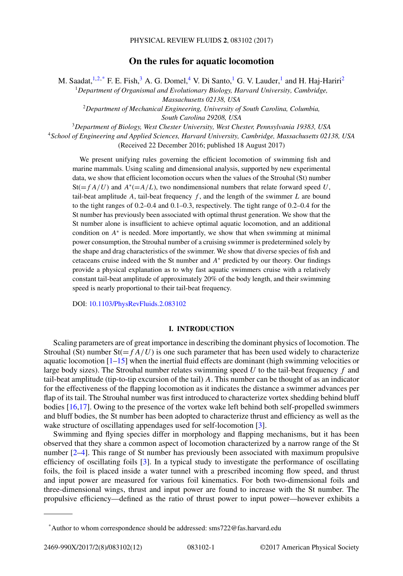# **On the rules for aquatic locomotion**

M. Saadat,  $^{1,2,*}$  F. E. Fish,  $^3$  A. G. Domel,  $^4$  V. Di Santo,  $^1$  G. V. Lauder,  $^1$  and H. Haj-Hariri<sup>2</sup>

<sup>1</sup>*Department of Organismal and Evolutionary Biology, Harvard University, Cambridge, Massachusetts 02138, USA*

<sup>2</sup>*Department of Mechanical Engineering, University of South Carolina, Columbia, South Carolina 29208, USA*

<sup>3</sup>*Department of Biology, West Chester University, West Chester, Pennsylvania 19383, USA*

<sup>4</sup>*School of Engineering and Applied Sciences, Harvard University, Cambridge, Massachusetts 02138, USA* (Received 22 December 2016; published 18 August 2017)

We present unifying rules governing the efficient locomotion of swimming fish and marine mammals. Using scaling and dimensional analysis, supported by new experimental data, we show that efficient locomotion occurs when the values of the Strouhal (St) number  $St(=f A/U)$  and  $A^*(-A/L)$ , two nondimensional numbers that relate forward speed U, tail-beat amplitude  $A$ , tail-beat frequency  $f$ , and the length of the swimmer  $L$  are bound to the tight ranges of 0.2–0.4 and 0.1–0.3, respectively. The tight range of 0.2–0.4 for the St number has previously been associated with optimal thrust generation. We show that the St number alone is insufficient to achieve optimal aquatic locomotion, and an additional condition on *A*<sup>∗</sup> is needed. More importantly, we show that when swimming at minimal power consumption, the Strouhal number of a cruising swimmer is predetermined solely by the shape and drag characteristics of the swimmer. We show that diverse species of fish and cetaceans cruise indeed with the St number and *A*<sup>∗</sup> predicted by our theory. Our findings provide a physical explanation as to why fast aquatic swimmers cruise with a relatively constant tail-beat amplitude of approximately 20% of the body length, and their swimming speed is nearly proportional to their tail-beat frequency.

DOI: [10.1103/PhysRevFluids.2.083102](https://doi.org/10.1103/PhysRevFluids.2.083102)

### **I. INTRODUCTION**

Scaling parameters are of great importance in describing the dominant physics of locomotion. The Strouhal (St) number  $St(=f A/U)$  is one such parameter that has been used widely to characterize aquatic locomotion  $[1-15]$  $[1-15]$  when the inertial fluid effects are dominant (high swimming velocities or large body sizes). The Strouhal number relates swimming speed *U* to the tail-beat frequency *f* and tail-beat amplitude (tip-to-tip excursion of the tail) *A*. This number can be thought of as an indicator for the effectiveness of the flapping locomotion as it indicates the distance a swimmer advances per flap of its tail. The Strouhal number was first introduced to characterize vortex shedding behind bluff bodies [\[16,17\]](#page-10-0). Owing to the presence of the vortex wake left behind both self-propelled swimmers and bluff bodies, the St number has been adopted to characterize thrust and efficiency as well as the wake structure of oscillating appendages used for self-locomotion [\[3\]](#page-9-0).

Swimming and flying species differ in morphology and flapping mechanisms, but it has been observed that they share a common aspect of locomotion characterized by a narrow range of the St number [\[2–4\]](#page-9-0). This range of St number has previously been associated with maximum propulsive efficiency of oscillating foils [\[3\]](#page-9-0). In a typical study to investigate the performance of oscillating foils, the foil is placed inside a water tunnel with a prescribed incoming flow speed, and thrust and input power are measured for various foil kinematics. For both two-dimensional foils and three-dimensional wings, thrust and input power are found to increase with the St number. The propulsive efficiency—defined as the ratio of thrust power to input power—however exhibits a

<sup>\*</sup>Author to whom correspondence should be addressed: sms722@fas.harvard.edu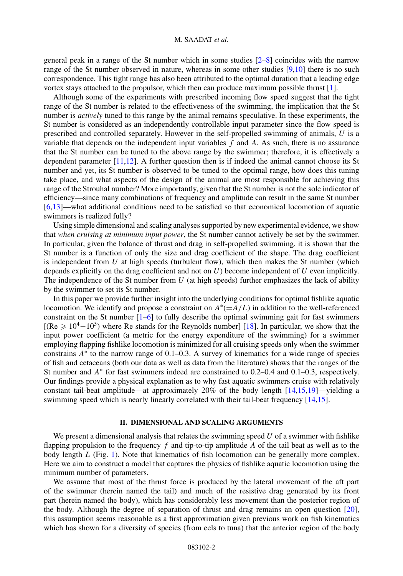general peak in a range of the St number which in some studies [\[2–](#page-9-0)[8\]](#page-10-0) coincides with the narrow range of the St number observed in nature, whereas in some other studies [\[9,10\]](#page-10-0) there is no such correspondence. This tight range has also been attributed to the optimal duration that a leading edge vortex stays attached to the propulsor, which then can produce maximum possible thrust [\[1\]](#page-9-0).

Although some of the experiments with prescribed incoming flow speed suggest that the tight range of the St number is related to the effectiveness of the swimming, the implication that the St number is *actively* tuned to this range by the animal remains speculative. In these experiments, the St number is considered as an independently controllable input parameter since the flow speed is prescribed and controlled separately. However in the self-propelled swimming of animals, *U* is a variable that depends on the independent input variables *f* and *A*. As such, there is no assurance that the St number can be tuned to the above range by the swimmer; therefore, it is effectively a dependent parameter [\[11,12\]](#page-10-0). A further question then is if indeed the animal cannot choose its St number and yet, its St number is observed to be tuned to the optimal range, how does this tuning take place, and what aspects of the design of the animal are most responsible for achieving this range of the Strouhal number? More importantly, given that the St number is not the sole indicator of efficiency—since many combinations of frequency and amplitude can result in the same St number [\[6,](#page-9-0)[13\]](#page-10-0)—what additional conditions need to be satisfied so that economical locomotion of aquatic swimmers is realized fully?

Using simple dimensional and scaling analyses supported by new experimental evidence, we show that *when cruising at minimum input power*, the St number cannot actively be set by the swimmer. In particular, given the balance of thrust and drag in self-propelled swimming, it is shown that the St number is a function of only the size and drag coefficient of the shape. The drag coefficient is independent from *U* at high speeds (turbulent flow), which then makes the St number (which depends explicitly on the drag coefficient and not on *U*) become independent of *U* even implicitly. The independence of the St number from *U* (at high speeds) further emphasizes the lack of ability by the swimmer to set its St number.

In this paper we provide further insight into the underlying conditions for optimal fishlike aquatic locomotion. We identify and propose a constraint on  $A^*(-A/L)$  in addition to the well-referenced constraint on the St number [\[1–6\]](#page-9-0) to fully describe the optimal swimming gait for fast swimmers  $[(Re \geq 10^4-10^5)$  where Re stands for the Reynolds number] [\[18\]](#page-10-0). In particular, we show that the input power coefficient (a metric for the energy expenditure of the swimming) for a swimmer employing flapping fishlike locomotion is minimized for all cruising speeds only when the swimmer constrains *A*<sup>∗</sup> to the narrow range of 0.1–0.3. A survey of kinematics for a wide range of species of fish and cetaceans (both our data as well as data from the literature) shows that the ranges of the St number and *A*<sup>∗</sup> for fast swimmers indeed are constrained to 0.2–0.4 and 0.1–0.3, respectively. Our findings provide a physical explanation as to why fast aquatic swimmers cruise with relatively constant tail-beat amplitude—at approximately 20% of the body length [\[14,15,19\]](#page-10-0)—yielding a swimming speed which is nearly linearly correlated with their tail-beat frequency [\[14,15\]](#page-10-0).

### **II. DIMENSIONAL AND SCALING ARGUMENTS**

We present a dimensional analysis that relates the swimming speed *U* of a swimmer with fishlike flapping propulsion to the frequency *f* and tip-to-tip amplitude *A* of the tail beat as well as to the body length *L* (Fig. [1\)](#page-2-0). Note that kinematics of fish locomotion can be generally more complex. Here we aim to construct a model that captures the physics of fishlike aquatic locomotion using the minimum number of parameters.

We assume that most of the thrust force is produced by the lateral movement of the aft part of the swimmer (herein named the tail) and much of the resistive drag generated by its front part (herein named the body), which has considerably less movement than the posterior region of the body. Although the degree of separation of thrust and drag remains an open question [\[20\]](#page-10-0), this assumption seems reasonable as a first approximation given previous work on fish kinematics which has shown for a diversity of species (from eels to tuna) that the anterior region of the body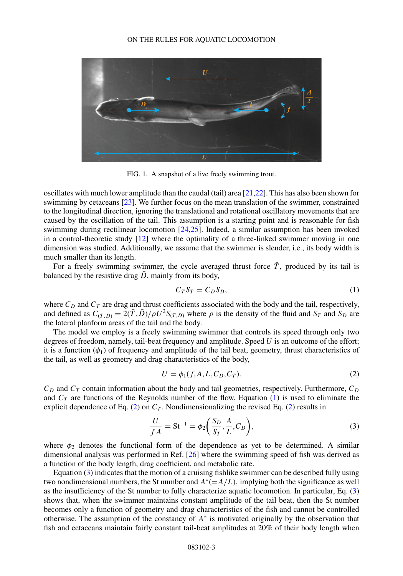#### ON THE RULES FOR AQUATIC LOCOMOTION

<span id="page-2-0"></span>

FIG. 1. A snapshot of a live freely swimming trout.

oscillates with much lower amplitude than the caudal (tail) area [\[21,22\]](#page-10-0). This has also been shown for swimming by cetaceans [\[23\]](#page-10-0). We further focus on the mean translation of the swimmer, constrained to the longitudinal direction, ignoring the translational and rotational oscillatory movements that are caused by the oscillation of the tail. This assumption is a starting point and is reasonable for fish swimming during rectilinear locomotion [\[24,25\]](#page-10-0). Indeed, a similar assumption has been invoked in a control-theoretic study [\[12\]](#page-10-0) where the optimality of a three-linked swimmer moving in one dimension was studied. Additionally, we assume that the swimmer is slender, i.e., its body width is much smaller than its length.

For a freely swimming swimmer, the cycle averaged thrust force  $\overline{T}$ , produced by its tail is balanced by the resistive drag  $\bar{D}$ , mainly from its body,

$$
C_T S_T = C_D S_D,\tag{1}
$$

where  $C_D$  and  $C_T$  are drag and thrust coefficients associated with the body and the tail, respectively, and defined as  $C_{(\bar{T}, \bar{D})} = 2(\bar{T}, \bar{D})/\rho U^2 S_{(T, D)}$  where  $\rho$  is the density of the fluid and  $S_T$  and  $S_D$  are the lateral planform areas of the tail and the body.

The model we employ is a freely swimming swimmer that controls its speed through only two degrees of freedom, namely, tail-beat frequency and amplitude. Speed *U* is an outcome of the effort; it is a function  $(\phi_1)$  of frequency and amplitude of the tail beat, geometry, thrust characteristics of the tail, as well as geometry and drag characteristics of the body,

$$
U = \phi_1(f, A, L, C_D, C_T). \tag{2}
$$

 $C_D$  and  $C_T$  contain information about the body and tail geometries, respectively. Furthermore,  $C_D$ and  $C_T$  are functions of the Reynolds number of the flow. Equation (1) is used to eliminate the explicit dependence of Eq. (2) on  $C_T$ . Nondimensionalizing the revised Eq. (2) results in

$$
\frac{U}{fA} = \text{St}^{-1} = \phi_2 \bigg( \frac{S_D}{S_T}, \frac{A}{L}, C_D \bigg),\tag{3}
$$

where  $\phi_2$  denotes the functional form of the dependence as yet to be determined. A similar dimensional analysis was performed in Ref. [\[26\]](#page-10-0) where the swimming speed of fish was derived as a function of the body length, drag coefficient, and metabolic rate.

Equation (3) indicates that the motion of a cruising fishlike swimmer can be described fully using two nondimensional numbers, the St number and  $A<sup>*</sup>(=A/L)$ , implying both the significance as well as the insufficiency of the St number to fully characterize aquatic locomotion. In particular, Eq. (3) shows that, when the swimmer maintains constant amplitude of the tail beat, then the St number becomes only a function of geometry and drag characteristics of the fish and cannot be controlled otherwise. The assumption of the constancy of *A*<sup>∗</sup> is motivated originally by the observation that fish and cetaceans maintain fairly constant tail-beat amplitudes at 20% of their body length when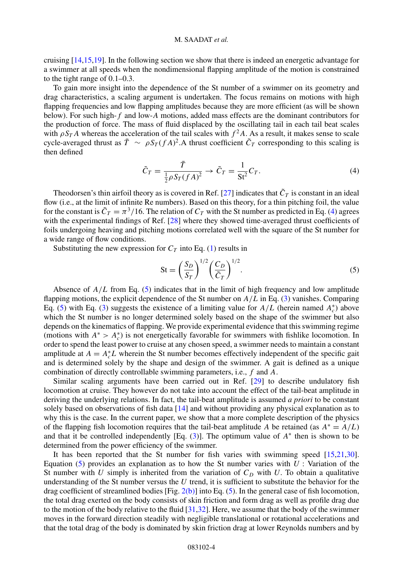<span id="page-3-0"></span>cruising [\[14,15,19\]](#page-10-0). In the following section we show that there is indeed an energetic advantage for a swimmer at all speeds when the nondimensional flapping amplitude of the motion is constrained to the tight range of 0.1–0.3.

To gain more insight into the dependence of the St number of a swimmer on its geometry and drag characteristics, a scaling argument is undertaken. The focus remains on motions with high flapping frequencies and low flapping amplitudes because they are more efficient (as will be shown below). For such high-*f* and low-*A* motions, added mass effects are the dominant contributors for the production of force. The mass of fluid displaced by the oscillating tail in each tail beat scales with  $\rho S_T A$  whereas the acceleration of the tail scales with  $f^2 A$ . As a result, it makes sense to scale cycle-averaged thrust as  $\bar{T} \sim \rho S_T (f A)^2$ . A thrust coefficient  $\tilde{C}_T$  corresponding to this scaling is then defined

$$
\tilde{C}_T = \frac{\bar{T}}{\frac{1}{2}\rho S_T (fA)^2} \to \tilde{C}_T = \frac{1}{\text{St}^2} C_T. \tag{4}
$$

Theodorsen's thin airfoil theory as is covered in Ref. [\[27\]](#page-10-0) indicates that  $\tilde{C}_T$  is constant in an ideal flow (i.e., at the limit of infinite Re numbers). Based on this theory, for a thin pitching foil, the value for the constant is  $\tilde{C}_T = \pi^3/16$ . The relation of  $C_T$  with the St number as predicted in Eq. (4) agrees with the experimental findings of Ref. [\[28\]](#page-10-0) where they showed time-averaged thrust coefficients of foils undergoing heaving and pitching motions correlated well with the square of the St number for a wide range of flow conditions.

Substituting the new expression for  $C_T$  into Eq. [\(1\)](#page-2-0) results in

$$
\mathbf{St} = \left(\frac{S_D}{S_T}\right)^{1/2} \left(\frac{C_D}{\tilde{C}_T}\right)^{1/2}.\tag{5}
$$

Absence of  $A/L$  from Eq. (5) indicates that in the limit of high frequency and low amplitude flapping motions, the explicit dependence of the St number on *A/L* in Eq. [\(3\)](#page-2-0) vanishes. Comparing Eq. (5) with Eq. [\(3\)](#page-2-0) suggests the existence of a limiting value for  $A/L$  (herein named  $A_c^*$ ) above which the St number is no longer determined solely based on the shape of the swimmer but also depends on the kinematics of flapping. We provide experimental evidence that this swimming regime (motions with  $A^* > A_c^*$ ) is not energetically favorable for swimmers with fishlike locomotion. In order to spend the least power to cruise at any chosen speed, a swimmer needs to maintain a constant amplitude at  $A = A_c^* L$  wherein the St number becomes effectively independent of the specific gait and is determined solely by the shape and design of the swimmer. A gait is defined as a unique combination of directly controllable swimming parameters, i.e., *f* and *A.*

Similar scaling arguments have been carried out in Ref. [\[29\]](#page-10-0) to describe undulatory fish locomotion at cruise. They however do not take into account the effect of the tail-beat amplitude in deriving the underlying relations. In fact, the tail-beat amplitude is assumed *a priori* to be constant solely based on observations of fish data [\[14\]](#page-10-0) and without providing any physical explanation as to why this is the case. In the current paper, we show that a more complete description of the physics of the flapping fish locomotion requires that the tail-beat amplitude *A* be retained (as  $A^* = A/L$ ) and that it be controlled independently [Eq. [\(3\)](#page-2-0)]. The optimum value of *A*<sup>∗</sup> then is shown to be determined from the power efficiency of the swimmer.

It has been reported that the St number for fish varies with swimming speed [\[15,21,30\]](#page-10-0). Equation (5) provides an explanation as to how the St number varies with  $U$ : Variation of the St number with  $U$  simply is inherited from the variation of  $C_D$  with  $U$ . To obtain a qualitative understanding of the St number versus the *U* trend, it is sufficient to substitute the behavior for the drag coefficient of streamlined bodies  $[Fig. 2(b)]$  $[Fig. 2(b)]$  into Eq. (5). In the general case of fish locomotion, the total drag exerted on the body consists of skin friction and form drag as well as profile drag due to the motion of the body relative to the fluid  $[31,32]$ . Here, we assume that the body of the swimmer moves in the forward direction steadily with negligible translational or rotational accelerations and that the total drag of the body is dominated by skin friction drag at lower Reynolds numbers and by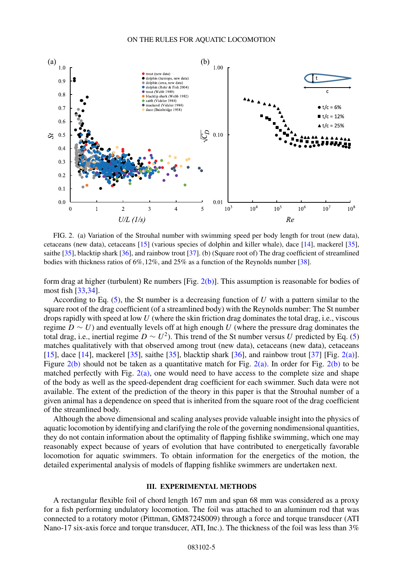<span id="page-4-0"></span>

FIG. 2. (a) Variation of the Strouhal number with swimming speed per body length for trout (new data), cetaceans (new data), cetaceans [\[15\]](#page-10-0) (various species of dolphin and killer whale), dace [\[14\]](#page-10-0), mackerel [\[35\]](#page-11-0), saithe [\[35\]](#page-11-0), blacktip shark [\[36\]](#page-11-0), and rainbow trout [\[37\]](#page-11-0). (b) (Square root of) The drag coefficient of streamlined bodies with thickness ratios of 6%*,*12%, and 25% as a function of the Reynolds number [\[38\]](#page-11-0).

form drag at higher (turbulent) Re numbers  $[Fig. 2(b)]$ . This assumption is reasonable for bodies of most fish [\[33,34\]](#page-10-0).

According to Eq. [\(5\)](#page-3-0), the St number is a decreasing function of *U* with a pattern similar to the square root of the drag coefficient (of a streamlined body) with the Reynolds number: The St number drops rapidly with speed at low *U* (where the skin friction drag dominates the total drag, i.e., viscous regime *D* ∼ *U*) and eventually levels off at high enough *U* (where the pressure drag dominates the total drag, i.e., inertial regime  $D \sim U^2$ ). This trend of the St number versus *U* predicted by Eq. [\(5\)](#page-3-0) matches qualitatively with that observed among trout (new data), cetaceans (new data), cetaceans [\[15\]](#page-10-0), dace [\[14\]](#page-10-0), mackerel [\[35\]](#page-11-0), saithe [35], blacktip shark [\[36\]](#page-11-0), and rainbow trout [\[37\]](#page-11-0) [Fig. 2(a)]. Figure 2(b) should not be taken as a quantitative match for Fig. 2(a). In order for Fig. 2(b) to be matched perfectly with Fig.  $2(a)$ , one would need to have access to the complete size and shape of the body as well as the speed-dependent drag coefficient for each swimmer. Such data were not available. The extent of the prediction of the theory in this paper is that the Strouhal number of a given animal has a dependence on speed that is inherited from the square root of the drag coefficient of the streamlined body.

Although the above dimensional and scaling analyses provide valuable insight into the physics of aquatic locomotion by identifying and clarifying the role of the governing nondimensional quantities, they do not contain information about the optimality of flapping fishlike swimming, which one may reasonably expect because of years of evolution that have contributed to energetically favorable locomotion for aquatic swimmers. To obtain information for the energetics of the motion, the detailed experimental analysis of models of flapping fishlike swimmers are undertaken next.

#### **III. EXPERIMENTAL METHODS**

A rectangular flexible foil of chord length 167 mm and span 68 mm was considered as a proxy for a fish performing undulatory locomotion. The foil was attached to an aluminum rod that was connected to a rotatory motor (Pittman, GM8724S009) through a force and torque transducer (ATI Nano-17 six-axis force and torque transducer, ATI, Inc.). The thickness of the foil was less than 3%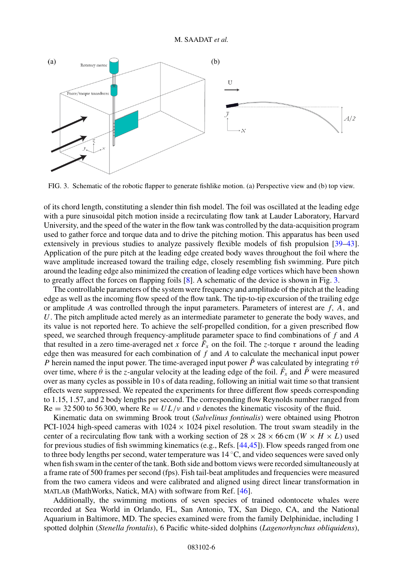

FIG. 3. Schematic of the robotic flapper to generate fishlike motion. (a) Perspective view and (b) top view.

of its chord length, constituting a slender thin fish model. The foil was oscillated at the leading edge with a pure sinusoidal pitch motion inside a recirculating flow tank at Lauder Laboratory, Harvard University, and the speed of the water in the flow tank was controlled by the data-acquisition program used to gather force and torque data and to drive the pitching motion. This apparatus has been used extensively in previous studies to analyze passively flexible models of fish propulsion [\[39–43\]](#page-11-0). Application of the pure pitch at the leading edge created body waves throughout the foil where the wave amplitude increased toward the trailing edge, closely resembling fish swimming. Pure pitch around the leading edge also minimized the creation of leading edge vortices which have been shown to greatly affect the forces on flapping foils [\[8\]](#page-10-0). A schematic of the device is shown in Fig. 3.

The controllable parameters of the system were frequency and amplitude of the pitch at the leading edge as well as the incoming flow speed of the flow tank. The tip-to-tip excursion of the trailing edge or amplitude *A* was controlled through the input parameters. Parameters of interest are *f, A,* and *U*. The pitch amplitude acted merely as an intermediate parameter to generate the body waves, and its value is not reported here. To achieve the self-propelled condition, for a given prescribed flow speed, we searched through frequency-amplitude parameter space to find combinations of *f* and *A* that resulted in a zero time-averaged net *x* force  $\bar{F}_x$  on the foil. The *z*-torque  $\tau$  around the leading edge then was measured for each combination of *f* and *A* to calculate the mechanical input power *P* herein named the input power. The time-averaged input power  $\bar{P}$  was calculated by integrating  $\tau \theta$ over time, where  $\dot{\theta}$  is the *z*-angular velocity at the leading edge of the foil.  $\bar{F}_x$  and  $\bar{P}$  were measured over as many cycles as possible in 10 s of data reading, following an initial wait time so that transient effects were suppressed. We repeated the experiments for three different flow speeds corresponding to 1*.*15, 1*.*57, and 2 body lengths per second. The corresponding flow Reynolds number ranged from  $Re = 32500$  to 56 300, where  $Re = UL/\nu$  and  $\nu$  denotes the kinematic viscosity of the fluid.

Kinematic data on swimming Brook trout (*Salvelinus fontinalis*) were obtained using Photron PCI-1024 high-speed cameras with  $1024 \times 1024$  pixel resolution. The trout swam steadily in the center of a recirculating flow tank with a working section of  $28 \times 28 \times 66$  cm (*W*  $\times$  *H*  $\times$  *L*) used for previous studies of fish swimming kinematics (e.g., Refs. [\[44,45\]](#page-11-0)). Flow speeds ranged from one to three body lengths per second, water temperature was 14 ◦C, and video sequences were saved only when fish swam in the center of the tank. Both side and bottom views were recorded simultaneously at a frame rate of 500 frames per second (fps). Fish tail-beat amplitudes and frequencies were measured from the two camera videos and were calibrated and aligned using direct linear transformation in MATLAB (MathWorks, Natick, MA) with software from Ref. [\[46\]](#page-11-0).

Additionally, the swimming motions of seven species of trained odontocete whales were recorded at Sea World in Orlando, FL, San Antonio, TX, San Diego, CA, and the National Aquarium in Baltimore, MD. The species examined were from the family Delphinidae, including 1 spotted dolphin (*Stenella frontalis*), 6 Pacific white-sided dolphins (*Lagenorhynchus obliquidens*),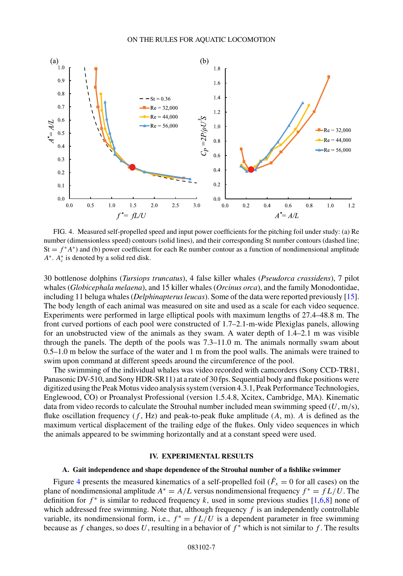<span id="page-6-0"></span>

FIG. 4. Measured self-propelled speed and input power coefficients for the pitching foil under study: (a) Re number (dimensionless speed) contours (solid lines), and their corresponding St number contours (dashed line;  $St = f^*A^*$ ) and (b) power coefficient for each Re number contour as a function of nondimensional amplitude  $A^*$ .  $A_c^*$  is denoted by a solid red disk.

30 bottlenose dolphins (*Tursiops truncatus*), 4 false killer whales (*Pseudorca crassidens*), 7 pilot whales (*Globicephala melaena*), and 15 killer whales (*Orcinus orca*), and the family Monodontidae, including 11 beluga whales (*Delphinapterus leucas*). Some of the data were reported previously [\[15\]](#page-10-0). The body length of each animal was measured on site and used as a scale for each video sequence. Experiments were performed in large elliptical pools with maximum lengths of 27.4–48.8 m. The front curved portions of each pool were constructed of 1.7–2.1-m-wide Plexiglas panels, allowing for an unobstructed view of the animals as they swam. A water depth of 1.4–2.1 m was visible through the panels. The depth of the pools was 7.3–11.0 m. The animals normally swam about 0.5–1.0 m below the surface of the water and 1 m from the pool walls. The animals were trained to swim upon command at different speeds around the circumference of the pool.

The swimming of the individual whales was video recorded with camcorders (Sony CCD-TR81, Panasonic DV-510, and Sony HDR-SR11) at a rate of 30 fps. Sequential body and fluke positions were digitized using the Peak Motus video analysis system (version 4.3.1, Peak Performance Technologies, Englewood, CO) or Proanalyst Professional (version 1.5.4.8, Xcitex, Cambridge, MA). Kinematic data from video records to calculate the Strouhal number included mean swimming speed (*U*, m*/*s), fluke oscillation frequency (*f* , Hz) and peak-to-peak fluke amplitude (*A*, m). *A* is defined as the maximum vertical displacement of the trailing edge of the flukes. Only video sequences in which the animals appeared to be swimming horizontally and at a constant speed were used.

#### **IV. EXPERIMENTAL RESULTS**

#### **A. Gait independence and shape dependence of the Strouhal number of a fishlike swimmer**

Figure 4 presents the measured kinematics of a self-propelled foil ( $\bar{F}_x = 0$  for all cases) on the plane of nondimensional amplitude  $A^* = A/L$  versus nondimensional frequency  $f^* = fL/U$ . The definition for  $f^*$  is similar to reduced frequency k, used in some previous studies  $[1,6,8]$  $[1,6,8]$  none of which addressed free swimming. Note that, although frequency *f* is an independently controllable variable, its nondimensional form, i.e.,  $f^* = fL/U$  is a dependent parameter in free swimming because as *f* changes, so does *U*, resulting in a behavior of *f* <sup>∗</sup> which is not similar to *f* . The results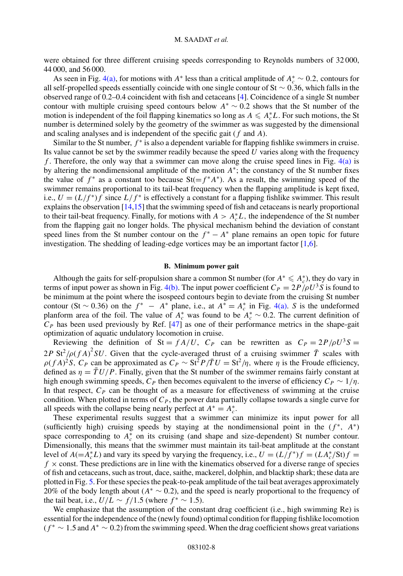were obtained for three different cruising speeds corresponding to Reynolds numbers of 32 000, 44 000, and 56 000.

As seen in Fig. [4\(a\),](#page-6-0) for motions with *A*<sup>∗</sup> less than a critical amplitude of  $A_c^* \sim 0.2$ , contours for all self-propelled speeds essentially coincide with one single contour of St ∼ 0*.*36, which falls in the observed range of 0.2–0.4 coincident with fish and cetaceans [\[4\]](#page-9-0). Coincidence of a single St number contour with multiple cruising speed contours below *A*<sup>∗</sup> ∼ 0*.*2 shows that the St number of the motion is independent of the foil flapping kinematics so long as  $A \leq A_c^* L$ . For such motions, the St number is determined solely by the geometry of the swimmer as was suggested by the dimensional and scaling analyses and is independent of the specific gait (*f* and *A*).

Similar to the St number,  $f^*$  is also a dependent variable for flapping fishlike swimmers in cruise. Its value cannot be set by the swimmer readily because the speed *U* varies along with the frequency *f* . Therefore, the only way that a swimmer can move along the cruise speed lines in Fig. [4\(a\)](#page-6-0) is by altering the nondimensional amplitude of the motion *A*∗; the constancy of the St number fixes the value of  $f^*$  as a constant too because St( $=f^*A^*$ ). As a result, the swimming speed of the swimmer remains proportional to its tail-beat frequency when the flapping amplitude is kept fixed, i.e.,  $U = (L/f^*)f$  since  $L/f^*$  is effectively a constant for a flapping fishlike swimmer. This result explains the observation [\[14,15\]](#page-10-0) that the swimming speed of fish and cetaceans is nearly proportional to their tail-beat frequency. Finally, for motions with  $A > A_c^*L$ , the independence of the St number from the flapping gait no longer holds. The physical mechanism behind the deviation of constant speed lines from the St number contour on the  $f^* - A^*$  plane remains an open topic for future investigation. The shedding of leading-edge vortices may be an important factor [\[1,6\]](#page-9-0).

#### **B. Minimum power gait**

Although the gaits for self-propulsion share a common St number (for  $A^* \leq A_c^*$ ), they do vary in terms of input power as shown in Fig. [4\(b\).](#page-6-0) The input power coefficient  $C_P = 2P/\rho U^3 S$  is found to be minimum at the point where the isospeed contours begin to deviate from the cruising St number contour (St ~ 0.36) on the  $f^* - A^*$  plane, i.e., at  $A^* = A_c^*$  in Fig. [4\(a\).](#page-6-0) *S* is the undeformed planform area of the foil. The value of  $A^*_{c}$  was found to be  $A^*_{c} \sim 0.2$ . The current definition of  $C_P$  has been used previously by Ref. [\[47\]](#page-11-0) as one of their performance metrics in the shape-gait optimization of aquatic undulatory locomotion in cruise.

Reviewing the definition of  $St = fA/U$ ,  $C_P$  can be rewritten as  $C_P = 2P/\rho U^3S$  $2P \text{ St}^2/\rho(fA)^2 SU$ . Given that the cycle-averaged thrust of a cruising swimmer  $\overline{T}$  scales with  $\rho(fA)^2 S$ ,  $C_P$  can be approximated as  $C_P \sim \frac{St^2 P}{\tau U} = \frac{St^2}{\eta}$ , where  $\eta$  is the Froude efficiency, defined as  $\eta = \overline{T} U/P$ . Finally, given that the St number of the swimmer remains fairly constant at high enough swimming speeds,  $C_P$  then becomes equivalent to the inverse of efficiency  $C_P \sim 1/\eta$ . In that respect,  $C_P$  can be thought of as a measure for effectiveness of swimming at the cruise condition. When plotted in terms of  $C_P$ , the power data partially collapse towards a single curve for all speeds with the collapse being nearly perfect at  $A^* = A_c^*$ .

These experimental results suggest that a swimmer can minimize its input power for all (sufficiently high) cruising speeds by staying at the nondimensional point in the  $(f^*, A^*)$ space corresponding to  $A_c^*$  on its cruising (and shape and size-dependent) St number contour. Dimensionally, this means that the swimmer must maintain its tail-beat amplitude at the constant level of  $A(=A_c^*L)$  and vary its speed by varying the frequency, i.e.,  $U = (L/f^*)f = (LA_c^*/St)f =$  $f \times$  const. These predictions are in line with the kinematics observed for a diverse range of species of fish and cetaceans, such as trout, dace, saithe, mackerel, dolphin, and blacktip shark; these data are plotted in Fig. [5.](#page-8-0) For these species the peak-to-peak amplitude of the tail beat averages approximately 20% of the body length about (*A*<sup>∗</sup> ∼ 0*.*2), and the speed is nearly proportional to the frequency of the tail beat, i.e.,  $U/L \sim f/1.5$  (where  $f^* \sim 1.5$ ).

We emphasize that the assumption of the constant drag coefficient (i.e., high swimming Re) is essential for the independence of the (newly found) optimal condition for flapping fishlike locomotion (*f* <sup>∗</sup> ∼ 1*.*5 and *A*<sup>∗</sup> ∼ 0*.*2) from the swimming speed. When the drag coefficient shows great variations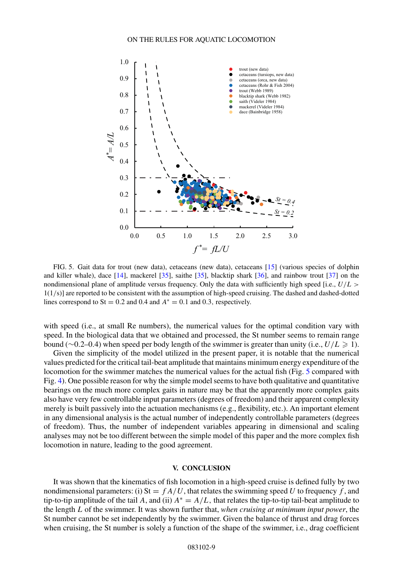<span id="page-8-0"></span>

FIG. 5. Gait data for trout (new data), cetaceans (new data), cetaceans [\[15\]](#page-10-0) (various species of dolphin and killer whale), dace [\[14\]](#page-10-0), mackerel [\[35\]](#page-11-0), saithe [\[35\]](#page-11-0), blacktip shark [\[36\]](#page-11-0), and rainbow trout [\[37\]](#page-11-0) on the nondimensional plane of amplitude versus frequency. Only the data with sufficiently high speed [i.e., *U/L >* 1(1*/*s)] are reported to be consistent with the assumption of high-speed cruising. The dashed and dashed-dotted lines correspond to St = 0.2 and 0.4 and  $A^* = 0.1$  and 0.3*,* respectively.

with speed (i.e., at small Re numbers), the numerical values for the optimal condition vary with speed. In the biological data that we obtained and processed, the St number seems to remain range bound (∼0*.*2–0*.*4) when speed per body length of the swimmer is greater than unity (i.e., *U/L* - 1).

Given the simplicity of the model utilized in the present paper, it is notable that the numerical values predicted for the critical tail-beat amplitude that maintains minimum energy expenditure of the locomotion for the swimmer matches the numerical values for the actual fish (Fig. 5 compared with Fig. [4\)](#page-6-0). One possible reason for why the simple model seems to have both qualitative and quantitative bearings on the much more complex gaits in nature may be that the apparently more complex gaits also have very few controllable input parameters (degrees of freedom) and their apparent complexity merely is built passively into the actuation mechanisms (e.g., flexibility, etc.). An important element in any dimensional analysis is the actual number of independently controllable parameters (degrees of freedom). Thus, the number of independent variables appearing in dimensional and scaling analyses may not be too different between the simple model of this paper and the more complex fish locomotion in nature, leading to the good agreement.

### **V. CONCLUSION**

It was shown that the kinematics of fish locomotion in a high-speed cruise is defined fully by two nondimensional parameters: (i)  $St = fA/U$ , that relates the swimming speed U to frequency f, and tip-to-tip amplitude of the tail *A*, and (ii)  $A^* = A/L$ , that relates the tip-to-tip tail-beat amplitude to the length *L* of the swimmer. It was shown further that, *when cruising at minimum input power*, the St number cannot be set independently by the swimmer. Given the balance of thrust and drag forces when cruising, the St number is solely a function of the shape of the swimmer, i.e., drag coefficient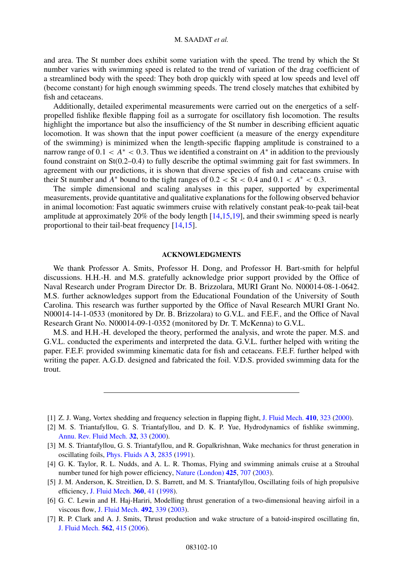<span id="page-9-0"></span>and area. The St number does exhibit some variation with the speed. The trend by which the St number varies with swimming speed is related to the trend of variation of the drag coefficient of a streamlined body with the speed: They both drop quickly with speed at low speeds and level off (become constant) for high enough swimming speeds. The trend closely matches that exhibited by fish and cetaceans.

Additionally, detailed experimental measurements were carried out on the energetics of a selfpropelled fishlike flexible flapping foil as a surrogate for oscillatory fish locomotion. The results highlight the importance but also the insufficiency of the St number in describing efficient aquatic locomotion. It was shown that the input power coefficient (a measure of the energy expenditure of the swimming) is minimized when the length-specific flapping amplitude is constrained to a narrow range of  $0.1 < A^* < 0.3$ . Thus we identified a constraint on  $A^*$  in addition to the previously found constraint on St(0.2–0.4) to fully describe the optimal swimming gait for fast swimmers. In agreement with our predictions, it is shown that diverse species of fish and cetaceans cruise with their St number and  $A^*$  bound to the tight ranges of  $0.2 <$  St  $< 0.4$  and  $0.1 < A^* < 0.3$ .

The simple dimensional and scaling analyses in this paper, supported by experimental measurements, provide quantitative and qualitative explanations for the following observed behavior in animal locomotion: Fast aquatic swimmers cruise with relatively constant peak-to-peak tail-beat amplitude at approximately 20% of the body length [\[14,15,19\]](#page-10-0), and their swimming speed is nearly proportional to their tail-beat frequency [\[14,15\]](#page-10-0).

## **ACKNOWLEDGMENTS**

We thank Professor A. Smits, Professor H. Dong, and Professor H. Bart-smith for helpful discussions. H.H.-H. and M.S. gratefully acknowledge prior support provided by the Office of Naval Research under Program Director Dr. B. Brizzolara, MURI Grant No. N00014-08-1-0642. M.S. further acknowledges support from the Educational Foundation of the University of South Carolina. This research was further supported by the Office of Naval Research MURI Grant No. N00014-14-1-0533 (monitored by Dr. B. Brizzolara) to G.V.L. and F.E.F., and the Office of Naval Research Grant No. N00014-09-1-0352 (monitored by Dr. T. McKenna) to G.V.L.

M.S. and H.H.-H. developed the theory, performed the analysis, and wrote the paper. M.S. and G.V.L. conducted the experiments and interpreted the data. G.V.L. further helped with writing the paper. F.E.F. provided swimming kinematic data for fish and cetaceans. F.E.F. further helped with writing the paper. A.G.D. designed and fabricated the foil. V.D.S. provided swimming data for the trout.

[1] Z. J. Wang, Vortex shedding and frequency selection in flapping flight, [J. Fluid Mech.](https://doi.org/10.1017/S0022112099008071) **[410](https://doi.org/10.1017/S0022112099008071)**, [323](https://doi.org/10.1017/S0022112099008071) [\(2000\)](https://doi.org/10.1017/S0022112099008071).

- [5] J. M. Anderson, K. Streitlien, D. S. Barrett, and M. S. Triantafyllou, Oscillating foils of high propulsive efficiency, [J. Fluid Mech.](https://doi.org/10.1017/S0022112097008392) **[360](https://doi.org/10.1017/S0022112097008392)**, [41](https://doi.org/10.1017/S0022112097008392) [\(1998\)](https://doi.org/10.1017/S0022112097008392).
- [6] G. C. Lewin and H. Haj-Hariri, Modelling thrust generation of a two-dimensional heaving airfoil in a viscous flow, [J. Fluid Mech.](https://doi.org/10.1017/S0022112003005743) **[492](https://doi.org/10.1017/S0022112003005743)**, [339](https://doi.org/10.1017/S0022112003005743) [\(2003\)](https://doi.org/10.1017/S0022112003005743).
- [7] R. P. Clark and A. J. Smits, Thrust production and wake structure of a batoid-inspired oscillating fin, [J. Fluid Mech.](https://doi.org/10.1017/S0022112006001297) **[562](https://doi.org/10.1017/S0022112006001297)**, [415](https://doi.org/10.1017/S0022112006001297) [\(2006\)](https://doi.org/10.1017/S0022112006001297).

<sup>[2]</sup> M. S. Triantafyllou, G. S. Triantafyllou, and D. K. P. Yue, Hydrodynamics of fishlike swimming, [Annu. Rev. Fluid Mech.](https://doi.org/10.1146/annurev.fluid.32.1.33) **[32](https://doi.org/10.1146/annurev.fluid.32.1.33)**, [33](https://doi.org/10.1146/annurev.fluid.32.1.33) [\(2000\)](https://doi.org/10.1146/annurev.fluid.32.1.33).

<sup>[3]</sup> M. S. Triantafyllou, G. S. Triantafyllou, and R. Gopalkrishnan, Wake mechanics for thrust generation in oscillating foils, [Phys. Fluids A](https://doi.org/10.1063/1.858173) **[3](https://doi.org/10.1063/1.858173)**, [2835](https://doi.org/10.1063/1.858173) [\(1991\)](https://doi.org/10.1063/1.858173).

<sup>[4]</sup> G. K. Taylor, R. L. Nudds, and A. L. R. Thomas, Flying and swimming animals cruise at a Strouhal number tuned for high power efficiency, [Nature \(London\)](https://doi.org/10.1038/nature02000) **[425](https://doi.org/10.1038/nature02000)**, [707](https://doi.org/10.1038/nature02000) [\(2003\)](https://doi.org/10.1038/nature02000).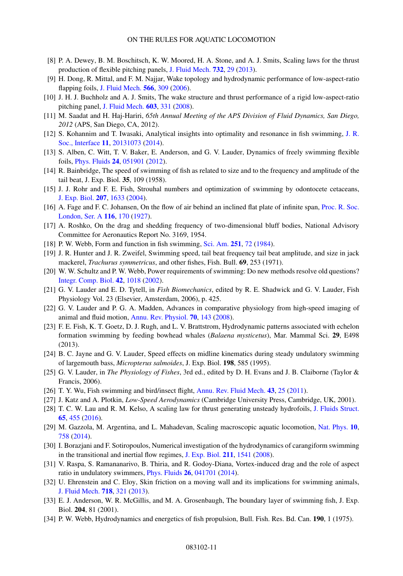- <span id="page-10-0"></span>[8] P. A. Dewey, B. M. Boschitsch, K. W. Moored, H. A. Stone, and A. J. Smits, Scaling laws for the thrust production of flexible pitching panels, [J. Fluid Mech.](https://doi.org/10.1017/jfm.2013.384) **[732](https://doi.org/10.1017/jfm.2013.384)**, [29](https://doi.org/10.1017/jfm.2013.384) [\(2013\)](https://doi.org/10.1017/jfm.2013.384).
- [9] H. Dong, R. Mittal, and F. M. Najjar, Wake topology and hydrodynamic performance of low-aspect-ratio flapping foils, [J. Fluid Mech.](https://doi.org/10.1017/S002211200600190X) **[566](https://doi.org/10.1017/S002211200600190X)**, [309](https://doi.org/10.1017/S002211200600190X) [\(2006\)](https://doi.org/10.1017/S002211200600190X).
- [10] J. H. J. Buchholz and A. J. Smits, The wake structure and thrust performance of a rigid low-aspect-ratio pitching panel, [J. Fluid Mech.](https://doi.org/10.1017/S0022112008000906) **[603](https://doi.org/10.1017/S0022112008000906)**, [331](https://doi.org/10.1017/S0022112008000906) [\(2008\)](https://doi.org/10.1017/S0022112008000906).
- [11] M. Saadat and H. Haj-Hariri, *65th Annual Meeting of the APS Division of Fluid Dynamics, San Diego, 2012* (APS, San Diego, CA, 2012).
- [12] [S. Kohannim and T. Iwasaki, Analytical insights into optimality and resonance in fish swimming,](https://doi.org/10.1098/rsif.2013.1073) J. R. Soc., Interface **[11](https://doi.org/10.1098/rsif.2013.1073)**, [20131073](https://doi.org/10.1098/rsif.2013.1073) [\(2014\)](https://doi.org/10.1098/rsif.2013.1073).
- [13] S. Alben, C. Witt, T. V. Baker, E. Anderson, and G. V. Lauder, Dynamics of freely swimming flexible foils, [Phys. Fluids](https://doi.org/10.1063/1.4709477) **[24](https://doi.org/10.1063/1.4709477)**, [051901](https://doi.org/10.1063/1.4709477) [\(2012\)](https://doi.org/10.1063/1.4709477).
- [14] R. Bainbridge, The speed of swimming of fish as related to size and to the frequency and amplitude of the tail beat, J. Exp. Biol. **35**, 109 (1958).
- [15] J. J. Rohr and F. E. Fish, Strouhal numbers and optimization of swimming by odontocete cetaceans, [J. Exp. Biol.](https://doi.org/10.1242/jeb.00948) **[207](https://doi.org/10.1242/jeb.00948)**, [1633](https://doi.org/10.1242/jeb.00948) [\(2004\)](https://doi.org/10.1242/jeb.00948).
- [16] [A. Fage and F. C. Johansen, On the flow of air behind an inclined flat plate of infinite span,](https://doi.org/10.1098/rspa.1927.0130) Proc. R. Soc. London, Ser. A **[116](https://doi.org/10.1098/rspa.1927.0130)**, [170](https://doi.org/10.1098/rspa.1927.0130) [\(1927\)](https://doi.org/10.1098/rspa.1927.0130).
- [17] A. Roshko, On the drag and shedding frequency of two-dimensional bluff bodies, National Advisory Committee for Aeronautics Report No. 3169, 1954.
- [18] P. W. Webb, Form and function in fish swimming, [Sci. Am.](https://doi.org/10.1038/scientificamerican0784-72) **[251](https://doi.org/10.1038/scientificamerican0784-72)**, [72](https://doi.org/10.1038/scientificamerican0784-72) [\(1984\)](https://doi.org/10.1038/scientificamerican0784-72).
- [19] J. R. Hunter and J. R. Zweifel, Swimming speed, tail beat frequency tail beat amplitude, and size in jack mackerel, *Trachurus symmetricus*, and other fishes, Fish. Bull. **69**, 253 (1971).
- [20] W. W. Schultz and P. W. Webb, Power requirements of swimming: Do new methods resolve old questions? [Integr. Comp. Biol.](https://doi.org/10.1093/icb/42.5.1018) **[42](https://doi.org/10.1093/icb/42.5.1018)**, [1018](https://doi.org/10.1093/icb/42.5.1018) [\(2002\)](https://doi.org/10.1093/icb/42.5.1018).
- [21] G. V. Lauder and E. D. Tytell, in *Fish Biomechanics*, edited by R. E. Shadwick and G. V. Lauder, Fish Physiology Vol. 23 (Elsevier, Amsterdam, 2006), p. 425.
- [22] G. V. Lauder and P. G. A. Madden, Advances in comparative physiology from high-speed imaging of animal and fluid motion, [Annu. Rev. Physiol.](https://doi.org/10.1146/annurev.physiol.70.113006.100438) **[70](https://doi.org/10.1146/annurev.physiol.70.113006.100438)**, [143](https://doi.org/10.1146/annurev.physiol.70.113006.100438) [\(2008\)](https://doi.org/10.1146/annurev.physiol.70.113006.100438).
- [23] F. E. Fish, K. T. Goetz, D. J. Rugh, and L. V. Brattstrom, Hydrodynamic patterns associated with echelon formation swimming by feeding bowhead whales (*Balaena mysticetus*), Mar. Mammal Sci. **29**, E498 (2013).
- [24] B. C. Jayne and G. V. Lauder, Speed effects on midline kinematics during steady undulatory swimming of largemouth bass, *Micropterus salmoides*, J. Exp. Biol. **198**, 585 (1995).
- [25] G. V. Lauder, in *The Physiology of Fishes*, 3rd ed., edited by D. H. Evans and J. B. Claiborne (Taylor & Francis, 2006).
- [26] T. Y. Wu, Fish swimming and bird/insect flight, [Annu. Rev. Fluid Mech.](https://doi.org/10.1146/annurev-fluid-122109-160648) **[43](https://doi.org/10.1146/annurev-fluid-122109-160648)**, [25](https://doi.org/10.1146/annurev-fluid-122109-160648) [\(2011\)](https://doi.org/10.1146/annurev-fluid-122109-160648).
- [27] J. Katz and A. Plotkin, *Low-Speed Aerodynamics* (Cambridge University Press, Cambridge, UK, 2001).
- [28] T. C. W. Lau and R. M. Kelso, A scaling law for thrust generating unsteady hydrofoils, [J. Fluids Struct.](https://doi.org/10.1016/j.jfluidstructs.2016.06.015) **[65](https://doi.org/10.1016/j.jfluidstructs.2016.06.015)**, [455](https://doi.org/10.1016/j.jfluidstructs.2016.06.015) [\(2016\)](https://doi.org/10.1016/j.jfluidstructs.2016.06.015).
- [29] M. Gazzola, M. Argentina, and L. Mahadevan, Scaling macroscopic aquatic locomotion, [Nat. Phys.](https://doi.org/10.1038/nphys3078) **[10](https://doi.org/10.1038/nphys3078)**, [758](https://doi.org/10.1038/nphys3078) [\(2014\)](https://doi.org/10.1038/nphys3078).
- [30] I. Borazjani and F. Sotiropoulos, Numerical investigation of the hydrodynamics of carangiform swimming in the transitional and inertial flow regimes, [J. Exp. Biol.](https://doi.org/10.1242/jeb.015644) **[211](https://doi.org/10.1242/jeb.015644)**, [1541](https://doi.org/10.1242/jeb.015644) [\(2008\)](https://doi.org/10.1242/jeb.015644).
- [31] V. Raspa, S. Ramananarivo, B. Thiria, and R. Godoy-Diana, Vortex-induced drag and the role of aspect ratio in undulatory swimmers, [Phys. Fluids](https://doi.org/10.1063/1.4870254) **[26](https://doi.org/10.1063/1.4870254)**, [041701](https://doi.org/10.1063/1.4870254) [\(2014\)](https://doi.org/10.1063/1.4870254).
- [32] U. Ehrenstein and C. Eloy, Skin friction on a moving wall and its implications for swimming animals, [J. Fluid Mech.](https://doi.org/10.1017/jfm.2012.613) **[718](https://doi.org/10.1017/jfm.2012.613)**, [321](https://doi.org/10.1017/jfm.2012.613) [\(2013\)](https://doi.org/10.1017/jfm.2012.613).
- [33] E. J. Anderson, W. R. McGillis, and M. A. Grosenbaugh, The boundary layer of swimming fish, J. Exp. Biol. **204**, 81 (2001).
- [34] P. W. Webb, Hydrodynamics and energetics of fish propulsion, Bull. Fish. Res. Bd. Can. **190**, 1 (1975).